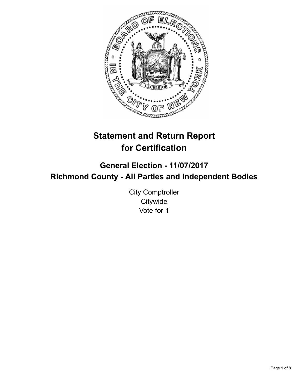

# **Statement and Return Report for Certification**

# **General Election - 11/07/2017 Richmond County - All Parties and Independent Bodies**

City Comptroller **Citywide** Vote for 1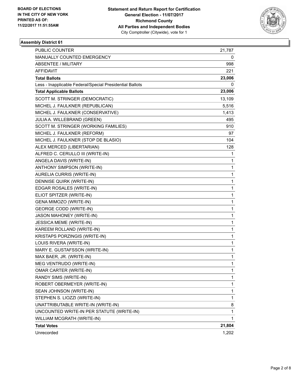

| <b>PUBLIC COUNTER</b>                                    | 21,787       |
|----------------------------------------------------------|--------------|
| MANUALLY COUNTED EMERGENCY                               | 0            |
| <b>ABSENTEE / MILITARY</b>                               | 998          |
| AFFIDAVIT                                                | 221          |
| <b>Total Ballots</b>                                     | 23,006       |
| Less - Inapplicable Federal/Special Presidential Ballots | 0            |
| <b>Total Applicable Ballots</b>                          | 23,006       |
| SCOTT M. STRINGER (DEMOCRATIC)                           | 13,109       |
| MICHEL J. FAULKNER (REPUBLICAN)                          | 5,516        |
| MICHEL J. FAULKNER (CONSERVATIVE)                        | 1,413        |
| JULIA A. WILLEBRAND (GREEN)                              | 495          |
| SCOTT M. STRINGER (WORKING FAMILIES)                     | 910          |
| MICHEL J. FAULKNER (REFORM)                              | 97           |
| MICHEL J. FAULKNER (STOP DE BLASIO)                      | 104          |
| ALEX MERCED (LIBERTARIAN)                                | 128          |
| ALFRED C. CERULLO III (WRITE-IN)                         | 1            |
| ANGELA DAVIS (WRITE-IN)                                  | 1            |
| ANTHONY SIMPSON (WRITE-IN)                               | 1            |
| AURELIA CURRIS (WRITE-IN)                                | 1            |
| DENNISE QUIRK (WRITE-IN)                                 | 1            |
| EDGAR ROSALES (WRITE-IN)                                 | 1            |
| ELIOT SPITZER (WRITE-IN)                                 | 1            |
| GENA MIMOZO (WRITE-IN)                                   | 1            |
| <b>GEORGE CODD (WRITE-IN)</b>                            | 1            |
| JASON MAHONEY (WRITE-IN)                                 | 1            |
| JESSICA MEME (WRITE-IN)                                  | 1            |
| KAREEM ROLLAND (WRITE-IN)                                | 1            |
| KRISTAPS PORZINGIS (WRITE-IN)                            | 1            |
| LOUIS RIVERA (WRITE-IN)                                  | 1            |
| MARY E. GUSTAFSSON (WRITE-IN)                            | 1            |
| MAX BAER, JR. (WRITE-IN)                                 | 1            |
| MEG VENTRUDO (WRITE-IN)                                  | $\mathbf{1}$ |
| OMAR CARTER (WRITE-IN)                                   | 1            |
| RANDY SIMS (WRITE-IN)                                    | 1            |
| ROBERT OBERMEYER (WRITE-IN)                              | 1            |
| SEAN JOHNSON (WRITE-IN)                                  | 1            |
| STEPHEN S. LIOZZI (WRITE-IN)                             | 1            |
| UNATTRIBUTABLE WRITE-IN (WRITE-IN)                       | 8            |
| UNCOUNTED WRITE-IN PER STATUTE (WRITE-IN)                | 1            |
| WILLIAM MCGRATH (WRITE-IN)                               | 1            |
| <b>Total Votes</b>                                       | 21,804       |
| Unrecorded                                               | 1,202        |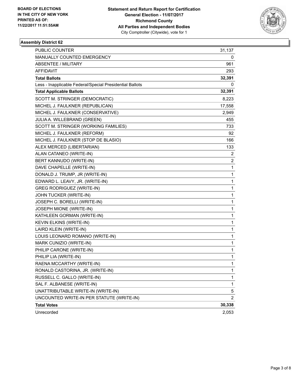

| PUBLIC COUNTER                                           | 31,137         |
|----------------------------------------------------------|----------------|
| MANUALLY COUNTED EMERGENCY                               | 0              |
| <b>ABSENTEE / MILITARY</b>                               | 961            |
| AFFIDAVIT                                                | 293            |
| <b>Total Ballots</b>                                     | 32,391         |
| Less - Inapplicable Federal/Special Presidential Ballots | 0              |
| <b>Total Applicable Ballots</b>                          | 32,391         |
| SCOTT M. STRINGER (DEMOCRATIC)                           | 8,223          |
| MICHEL J. FAULKNER (REPUBLICAN)                          | 17,558         |
| MICHEL J. FAULKNER (CONSERVATIVE)                        | 2,949          |
| JULIA A. WILLEBRAND (GREEN)                              | 455            |
| SCOTT M. STRINGER (WORKING FAMILIES)                     | 733            |
| MICHEL J. FAULKNER (REFORM)                              | 92             |
| MICHEL J. FAULKNER (STOP DE BLASIO)                      | 166            |
| ALEX MERCED (LIBERTARIAN)                                | 133            |
| ALAN CATANEO (WRITE-IN)                                  | 2              |
| BERT KANNUDO (WRITE-IN)                                  | 2              |
| DAVE CHAPELLE (WRITE-IN)                                 | 1              |
| DONALD J. TRUMP, JR (WRITE-IN)                           | 1              |
| EDWARD L. LEAVY, JR. (WRITE-IN)                          | 1              |
| <b>GREG RODRIGUEZ (WRITE-IN)</b>                         | 1              |
| JOHN TUCKER (WRITE-IN)                                   | 1              |
| JOSEPH C. BORELLI (WRITE-IN)                             | 1              |
| JOSEPH MIONE (WRITE-IN)                                  | 1              |
| KATHLEEN GORMAN (WRITE-IN)                               | 1              |
| KEVIN ELKINS (WRITE-IN)                                  | 1              |
| LAIRD KLEIN (WRITE-IN)                                   | 1              |
| LOUIS LEONARD ROMANO (WRITE-IN)                          | 1              |
| MARK CUNIZIO (WRITE-IN)                                  | 1              |
| PHILIP CARONE (WRITE-IN)                                 | 1              |
| PHILIP LIA (WRITE-IN)                                    | 1              |
| RAENA MCCARTHY (WRITE-IN)                                | $\mathbf{1}$   |
| RONALD CASTORINA, JR. (WRITE-IN)                         | 1              |
| RUSSELL C. GALLO (WRITE-IN)                              | 1              |
| SAL F. ALBANESE (WRITE-IN)                               | 1              |
| UNATTRIBUTABLE WRITE-IN (WRITE-IN)                       | 5              |
| UNCOUNTED WRITE-IN PER STATUTE (WRITE-IN)                | $\overline{2}$ |
| <b>Total Votes</b>                                       | 30,338         |
| Unrecorded                                               | 2,053          |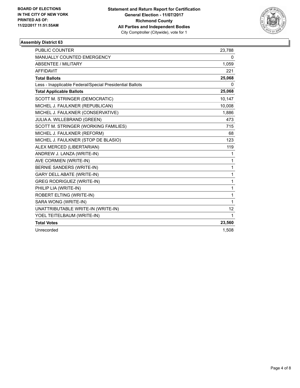

| <b>PUBLIC COUNTER</b>                                    | 23,788          |
|----------------------------------------------------------|-----------------|
| MANUALLY COUNTED EMERGENCY                               | 0               |
| ABSENTEE / MILITARY                                      | 1,059           |
| <b>AFFIDAVIT</b>                                         | 221             |
| <b>Total Ballots</b>                                     | 25,068          |
| Less - Inapplicable Federal/Special Presidential Ballots | 0               |
| <b>Total Applicable Ballots</b>                          | 25,068          |
| SCOTT M. STRINGER (DEMOCRATIC)                           | 10,147          |
| MICHEL J. FAULKNER (REPUBLICAN)                          | 10,008          |
| MICHEL J. FAULKNER (CONSERVATIVE)                        | 1,886           |
| JULIA A. WILLEBRAND (GREEN)                              | 473             |
| SCOTT M. STRINGER (WORKING FAMILIES)                     | 715             |
| MICHEL J. FAULKNER (REFORM)                              | 68              |
| MICHEL J. FAULKNER (STOP DE BLASIO)                      | 123             |
| ALEX MERCED (LIBERTARIAN)                                | 119             |
| ANDREW J. LANZA (WRITE-IN)                               | 1               |
| AVE CORMIEN (WRITE-IN)                                   | $\mathbf{1}$    |
| BERNIE SANDERS (WRITE-IN)                                | 1               |
| <b>GARY DELL ABATE (WRITE-IN)</b>                        | $\mathbf{1}$    |
| <b>GREG RODRIGUEZ (WRITE-IN)</b>                         | $\mathbf{1}$    |
| PHILIP LIA (WRITE-IN)                                    | 1               |
| ROBERT ELTING (WRITE-IN)                                 | 1               |
| SARA WONG (WRITE-IN)                                     | $\mathbf{1}$    |
| UNATTRIBUTABLE WRITE-IN (WRITE-IN)                       | 12 <sup>°</sup> |
| YOEL TEITELBAUM (WRITE-IN)                               | $\mathbf{1}$    |
| <b>Total Votes</b>                                       | 23,560          |
| Unrecorded                                               | 1.508           |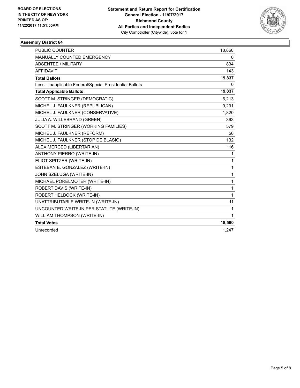

| <b>PUBLIC COUNTER</b>                                    | 18,860      |
|----------------------------------------------------------|-------------|
| MANUALLY COUNTED EMERGENCY                               | 0           |
| <b>ABSENTEE / MILITARY</b>                               | 834         |
| <b>AFFIDAVIT</b>                                         | 143         |
| <b>Total Ballots</b>                                     | 19,837      |
| Less - Inapplicable Federal/Special Presidential Ballots | 0           |
| <b>Total Applicable Ballots</b>                          | 19,837      |
| SCOTT M. STRINGER (DEMOCRATIC)                           | 6,213       |
| MICHEL J. FAULKNER (REPUBLICAN)                          | 9,291       |
| MICHEL J. FAULKNER (CONSERVATIVE)                        | 1,820       |
| JULIA A. WILLEBRAND (GREEN)                              | 363         |
| SCOTT M. STRINGER (WORKING FAMILIES)                     | 579         |
| MICHEL J. FAULKNER (REFORM)                              | 56          |
| MICHEL J. FAULKNER (STOP DE BLASIO)                      | 132         |
| ALEX MERCED (LIBERTARIAN)                                | 116         |
| <b>ANTHONY PIERRO (WRITE-IN)</b>                         | 1           |
| ELIOT SPITZER (WRITE-IN)                                 | 1           |
| ESTEBAN E. GONZALEZ (WRITE-IN)                           | 1           |
| JOHN SZELUGA (WRITE-IN)                                  | 1           |
| MICHAEL PORELMOTER (WRITE-IN)                            | 1           |
| <b>ROBERT DAVIS (WRITE-IN)</b>                           | $\mathbf 1$ |
| ROBERT HELBOCK (WRITE-IN)                                | 1           |
| UNATTRIBUTABLE WRITE-IN (WRITE-IN)                       | 11          |
| UNCOUNTED WRITE-IN PER STATUTE (WRITE-IN)                | 1           |
| WILLIAM THOMPSON (WRITE-IN)                              | 1           |
| <b>Total Votes</b>                                       | 18,590      |
| Unrecorded                                               | 1.247       |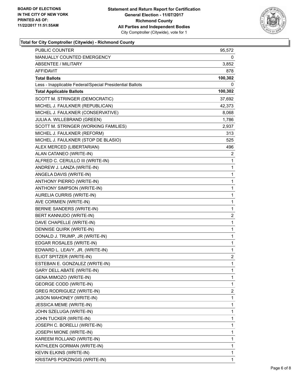

#### **Total for City Comptroller (Citywide) - Richmond County**

| <b>PUBLIC COUNTER</b>                                    | 95,572       |
|----------------------------------------------------------|--------------|
| MANUALLY COUNTED EMERGENCY                               | 0            |
| <b>ABSENTEE / MILITARY</b>                               | 3,852        |
| AFFIDAVIT                                                | 878          |
| <b>Total Ballots</b>                                     | 100,302      |
| Less - Inapplicable Federal/Special Presidential Ballots | 0            |
| <b>Total Applicable Ballots</b>                          | 100,302      |
| SCOTT M. STRINGER (DEMOCRATIC)                           | 37,692       |
| MICHEL J. FAULKNER (REPUBLICAN)                          | 42,373       |
| MICHEL J. FAULKNER (CONSERVATIVE)                        | 8,068        |
| JULIA A. WILLEBRAND (GREEN)                              | 1,786        |
| SCOTT M. STRINGER (WORKING FAMILIES)                     | 2,937        |
| MICHEL J. FAULKNER (REFORM)                              | 313          |
| MICHEL J. FAULKNER (STOP DE BLASIO)                      | 525          |
| ALEX MERCED (LIBERTARIAN)                                | 496          |
| ALAN CATANEO (WRITE-IN)                                  | 2            |
| ALFRED C. CERULLO III (WRITE-IN)                         | 1            |
| ANDREW J. LANZA (WRITE-IN)                               | 1            |
| ANGELA DAVIS (WRITE-IN)                                  | 1            |
| ANTHONY PIERRO (WRITE-IN)                                | 1            |
| ANTHONY SIMPSON (WRITE-IN)                               | $\mathbf 1$  |
| AURELIA CURRIS (WRITE-IN)                                | 1            |
| AVE CORMIEN (WRITE-IN)                                   | 1            |
| BERNIE SANDERS (WRITE-IN)                                | 1            |
| BERT KANNUDO (WRITE-IN)                                  | 2            |
| DAVE CHAPELLE (WRITE-IN)                                 | 1            |
| DENNISE QUIRK (WRITE-IN)                                 | $\mathbf 1$  |
| DONALD J. TRUMP, JR (WRITE-IN)                           | 1            |
| EDGAR ROSALES (WRITE-IN)                                 | 1            |
| EDWARD L. LEAVY, JR. (WRITE-IN)                          | 1            |
| ELIOT SPITZER (WRITE-IN)                                 | 2            |
| ESTEBAN E. GONZALEZ (WRITE-IN)                           | $\mathbf{1}$ |
| GARY DELL ABATE (WRITE-IN)                               | 1            |
| GENA MIMOZO (WRITE-IN)                                   | 1            |
| <b>GEORGE CODD (WRITE-IN)</b>                            | 1            |
| <b>GREG RODRIGUEZ (WRITE-IN)</b>                         | 2            |
| JASON MAHONEY (WRITE-IN)                                 | 1            |
| JESSICA MEME (WRITE-IN)                                  | 1            |
| JOHN SZELUGA (WRITE-IN)                                  | 1            |
| JOHN TUCKER (WRITE-IN)                                   | 1            |
| JOSEPH C. BORELLI (WRITE-IN)                             | 1            |
| JOSEPH MIONE (WRITE-IN)                                  | 1            |
| KAREEM ROLLAND (WRITE-IN)                                | 1            |
| KATHLEEN GORMAN (WRITE-IN)                               | 1            |
| KEVIN ELKINS (WRITE-IN)                                  | 1            |
| KRISTAPS PORZINGIS (WRITE-IN)                            | 1            |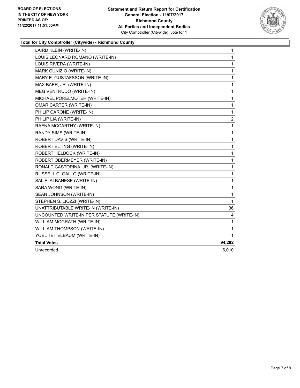

#### **Total for City Comptroller (Citywide) - Richmond County**

| LAIRD KLEIN (WRITE-IN)                    | 1            |
|-------------------------------------------|--------------|
| LOUIS LEONARD ROMANO (WRITE-IN)           | $\mathbf{1}$ |
| LOUIS RIVERA (WRITE-IN)                   | 1            |
| MARK CUNIZIO (WRITE-IN)                   | 1            |
| MARY E. GUSTAFSSON (WRITE-IN)             | 1            |
| MAX BAER, JR. (WRITE-IN)                  | 1            |
| MEG VENTRUDO (WRITE-IN)                   | 1            |
| MICHAEL PORELMOTER (WRITE-IN)             | 1            |
| <b>OMAR CARTER (WRITE-IN)</b>             | 1            |
| PHILIP CARONE (WRITE-IN)                  | 1            |
| PHILIP LIA (WRITE-IN)                     | 2            |
| RAENA MCCARTHY (WRITE-IN)                 | 1            |
| RANDY SIMS (WRITE-IN)                     | 1            |
| ROBERT DAVIS (WRITE-IN)                   | 1            |
| ROBERT ELTING (WRITE-IN)                  | 1            |
| ROBERT HELBOCK (WRITE-IN)                 | 1            |
| ROBERT OBERMEYER (WRITE-IN)               | 1            |
| RONALD CASTORINA, JR. (WRITE-IN)          | 1            |
| RUSSELL C. GALLO (WRITE-IN)               | 1            |
| SAL F. ALBANESE (WRITE-IN)                | 1            |
| SARA WONG (WRITE-IN)                      | 1            |
| SEAN JOHNSON (WRITE-IN)                   | 1            |
| STEPHEN S. LIOZZI (WRITE-IN)              | 1            |
| UNATTRIBUTABLE WRITE-IN (WRITE-IN)        | 36           |
| UNCOUNTED WRITE-IN PER STATUTE (WRITE-IN) | 4            |
| WILLIAM MCGRATH (WRITE-IN)                | 1            |
| WILLIAM THOMPSON (WRITE-IN)               | 1            |
| YOEL TEITELBAUM (WRITE-IN)                | 1            |
| <b>Total Votes</b>                        | 94,292       |
| Unrecorded                                | 6,010        |